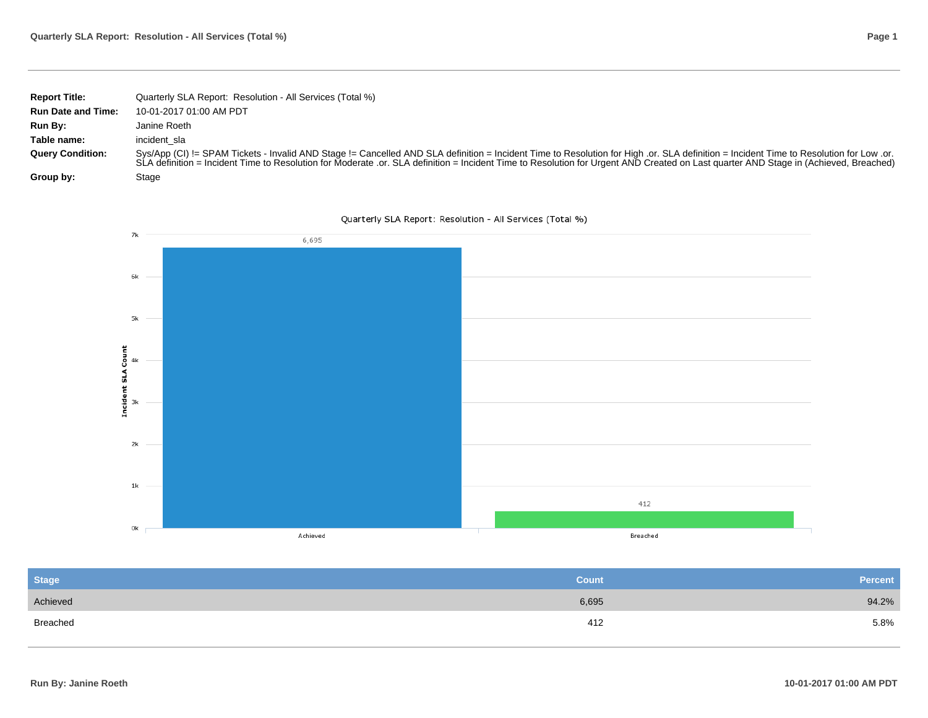| Page 1 |
|--------|
|        |

| <b>Report Title:</b>      | Quarterly SLA Report: Resolution - All Services (Total %)                                                                                                                                                                                                                                                                                                                      |
|---------------------------|--------------------------------------------------------------------------------------------------------------------------------------------------------------------------------------------------------------------------------------------------------------------------------------------------------------------------------------------------------------------------------|
| <b>Run Date and Time:</b> | 10-01-2017 01:00 AM PDT                                                                                                                                                                                                                                                                                                                                                        |
| Run By:                   | Janine Roeth                                                                                                                                                                                                                                                                                                                                                                   |
| Table name:               | incident sla                                                                                                                                                                                                                                                                                                                                                                   |
| <b>Query Condition:</b>   | Sys/App (CI) != SPAM Tickets - Invalid AND Stage != Cancelled AND SLA definition = Incident Time to Resolution for High .or. SLA definition = Incident Time to Resolution for Low .or.<br>SLA definition = Incident Time to Resolution for Moderate .or. SLA definition = Incident Time to Resolution for Urgent AND Created on Last quarter AND Stage in (Achieved, Breached) |
| Group by:                 | Stage                                                                                                                                                                                                                                                                                                                                                                          |





| <b>Stage</b> | <b>Count</b> | Percent |
|--------------|--------------|---------|
| Achieved     | 6,695        | 94.2%   |
| Breached     | 412          | 5.8%    |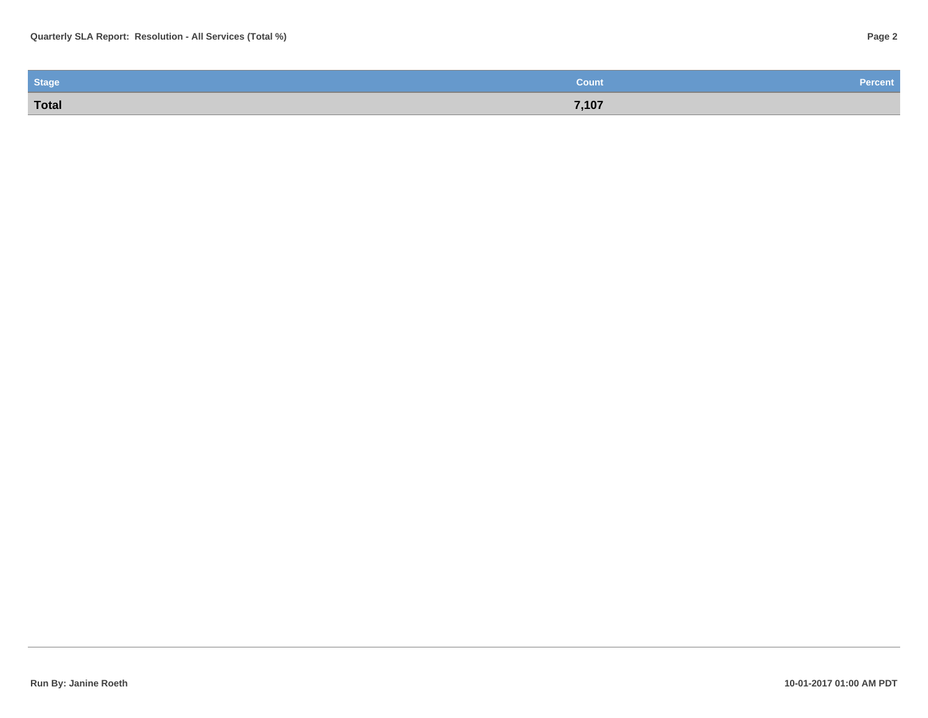| <b>Stage</b> | Count | <b>Percent</b> |
|--------------|-------|----------------|
| Total        | 7,107 |                |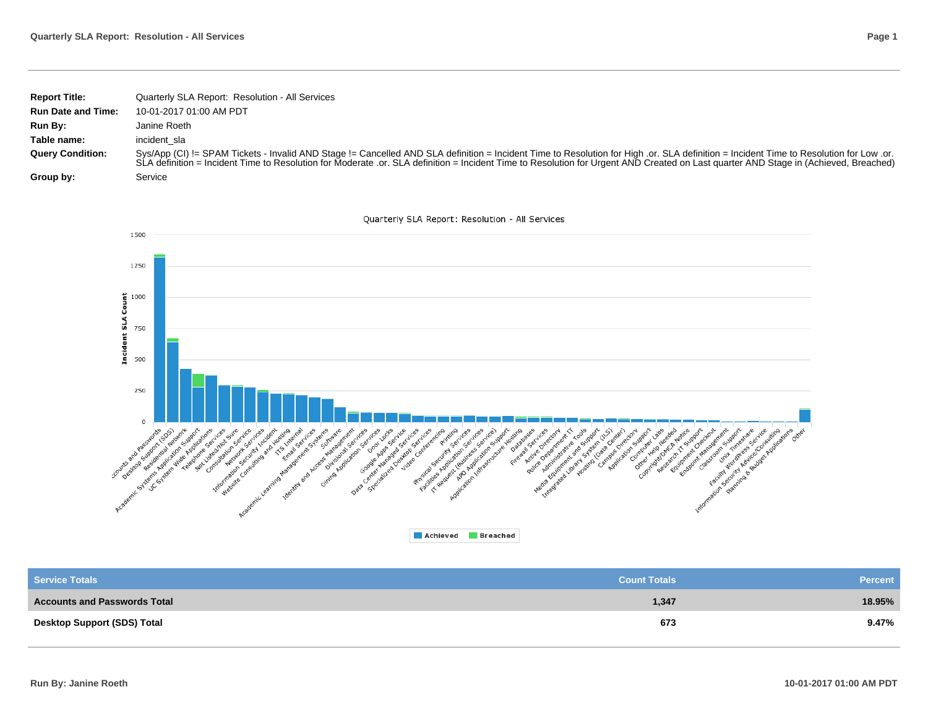| <b>Report Title:</b>      | Quarterly SLA Report: Resolution - All Services                                                                                                                                                                                                                                                                                                                                                                        |
|---------------------------|------------------------------------------------------------------------------------------------------------------------------------------------------------------------------------------------------------------------------------------------------------------------------------------------------------------------------------------------------------------------------------------------------------------------|
| <b>Run Date and Time:</b> | 10-01-2017 01:00 AM PDT                                                                                                                                                                                                                                                                                                                                                                                                |
| Run By:                   | Janine Roeth                                                                                                                                                                                                                                                                                                                                                                                                           |
| Table name:               | incident sla                                                                                                                                                                                                                                                                                                                                                                                                           |
| <b>Query Condition:</b>   | Sys/App (CI) != SPAM Tickets - Invalid AND Stage != Cancelled AND SLA definition = Incident Time to Resolution for High .or. SLA definition = Incident Time to Resolution for High .or SLA definition = Incident Time to Resol<br>SLA definition = Incident Time to Resolution for Moderate .or. SLA definition = Incident Time to Resolution for Urgent AND Created on Last quarter AND Stage in (Achieved, Breached) |
| Group by:                 | Service                                                                                                                                                                                                                                                                                                                                                                                                                |



| <b>Service Totals</b>               | <b>Count Totals</b> | <b>Percent</b> |
|-------------------------------------|---------------------|----------------|
| <b>Accounts and Passwords Total</b> | 1,347               | 18.95%         |
| <b>Desktop Support (SDS) Total</b>  | 673                 | 9.47%          |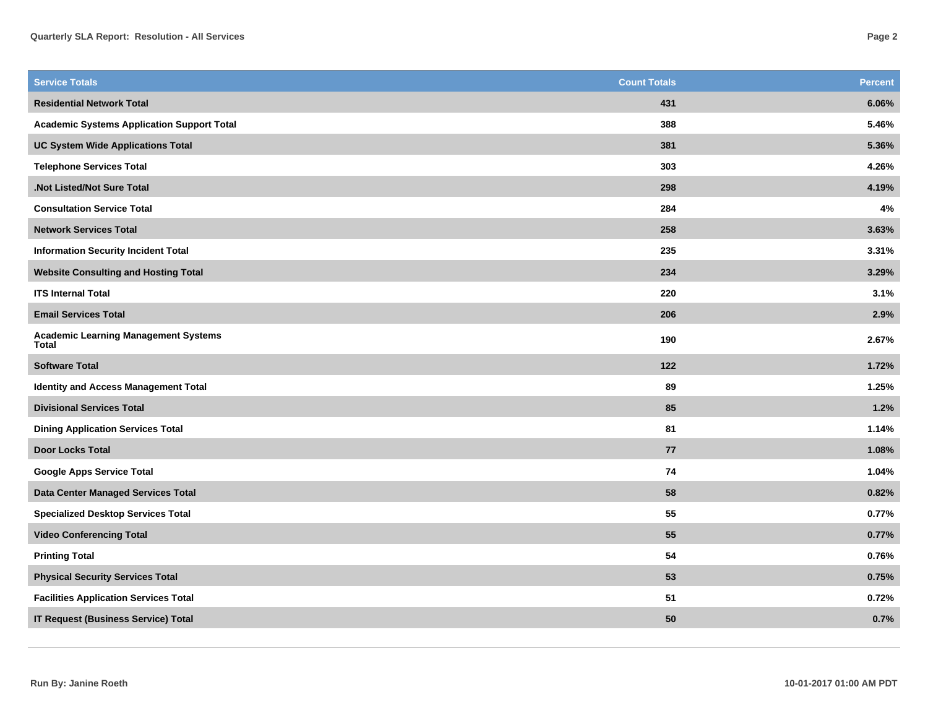| <b>Service Totals</b>                                       | <b>Count Totals</b> | <b>Percent</b> |
|-------------------------------------------------------------|---------------------|----------------|
| <b>Residential Network Total</b>                            | 431                 | 6.06%          |
| <b>Academic Systems Application Support Total</b>           | 388                 | 5.46%          |
| <b>UC System Wide Applications Total</b>                    | 381                 | 5.36%          |
| <b>Telephone Services Total</b>                             | 303                 | 4.26%          |
| .Not Listed/Not Sure Total                                  | 298                 | 4.19%          |
| <b>Consultation Service Total</b>                           | 284                 | $4\%$          |
| <b>Network Services Total</b>                               | 258                 | 3.63%          |
| <b>Information Security Incident Total</b>                  | 235                 | 3.31%          |
| <b>Website Consulting and Hosting Total</b>                 | 234                 | 3.29%          |
| <b>ITS Internal Total</b>                                   | 220                 | 3.1%           |
| <b>Email Services Total</b>                                 | 206                 | 2.9%           |
| <b>Academic Learning Management Systems</b><br><b>Total</b> | 190                 | 2.67%          |
| <b>Software Total</b>                                       | 122                 | 1.72%          |
| <b>Identity and Access Management Total</b>                 | 89                  | 1.25%          |
| <b>Divisional Services Total</b>                            | 85                  | 1.2%           |
| <b>Dining Application Services Total</b>                    | 81                  | 1.14%          |
| <b>Door Locks Total</b>                                     | 77                  | 1.08%          |
| <b>Google Apps Service Total</b>                            | 74                  | 1.04%          |
| Data Center Managed Services Total                          | 58                  | 0.82%          |
| <b>Specialized Desktop Services Total</b>                   | 55                  | 0.77%          |
| <b>Video Conferencing Total</b>                             | 55                  | 0.77%          |
| <b>Printing Total</b>                                       | 54                  | 0.76%          |
| <b>Physical Security Services Total</b>                     | 53                  | 0.75%          |
| <b>Facilities Application Services Total</b>                | 51                  | 0.72%          |
| <b>IT Request (Business Service) Total</b>                  | 50                  | 0.7%           |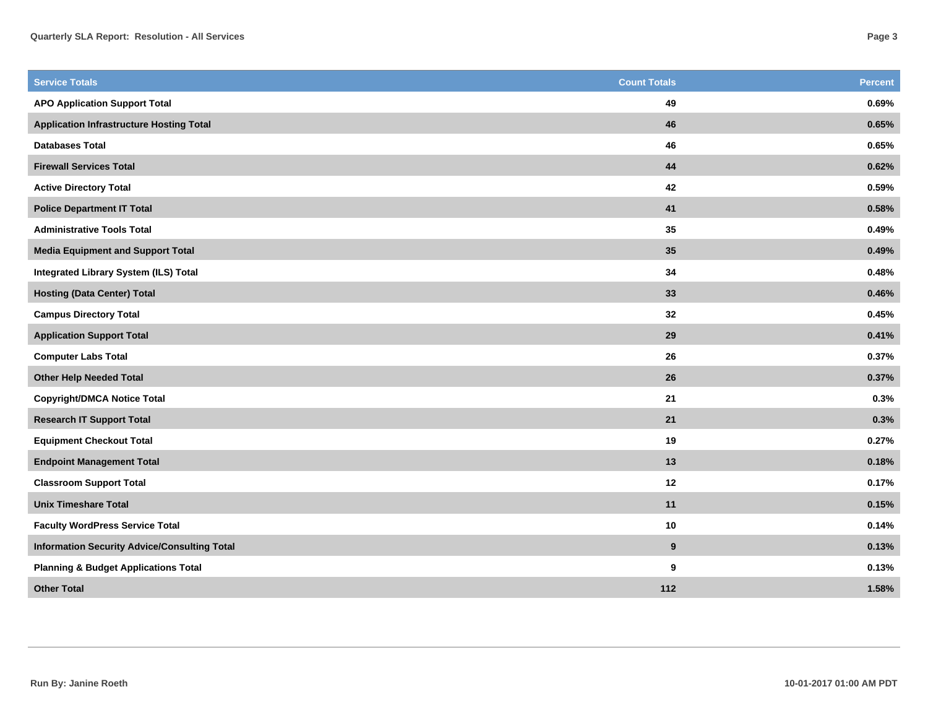| <b>Service Totals</b>                               | <b>Count Totals</b> | <b>Percent</b> |
|-----------------------------------------------------|---------------------|----------------|
| <b>APO Application Support Total</b>                | 49                  | 0.69%          |
| <b>Application Infrastructure Hosting Total</b>     | 46                  | 0.65%          |
| <b>Databases Total</b>                              | 46                  | 0.65%          |
| <b>Firewall Services Total</b>                      | $\bf 44$            | 0.62%          |
| <b>Active Directory Total</b>                       | 42                  | 0.59%          |
| <b>Police Department IT Total</b>                   | 41                  | 0.58%          |
| <b>Administrative Tools Total</b>                   | 35                  | 0.49%          |
| <b>Media Equipment and Support Total</b>            | 35                  | 0.49%          |
| <b>Integrated Library System (ILS) Total</b>        | 34                  | 0.48%          |
| <b>Hosting (Data Center) Total</b>                  | 33                  | 0.46%          |
| <b>Campus Directory Total</b>                       | 32                  | 0.45%          |
| <b>Application Support Total</b>                    | 29                  | 0.41%          |
| <b>Computer Labs Total</b>                          | 26                  | 0.37%          |
| <b>Other Help Needed Total</b>                      | 26                  | 0.37%          |
| <b>Copyright/DMCA Notice Total</b>                  | 21                  | 0.3%           |
| <b>Research IT Support Total</b>                    | 21                  | 0.3%           |
| <b>Equipment Checkout Total</b>                     | 19                  | 0.27%          |
| <b>Endpoint Management Total</b>                    | 13                  | 0.18%          |
| <b>Classroom Support Total</b>                      | $12$                | 0.17%          |
| <b>Unix Timeshare Total</b>                         | 11                  | 0.15%          |
| <b>Faculty WordPress Service Total</b>              | 10                  | 0.14%          |
| <b>Information Security Advice/Consulting Total</b> | 9                   | 0.13%          |
| <b>Planning &amp; Budget Applications Total</b>     | 9                   | 0.13%          |
| <b>Other Total</b>                                  | 112                 | 1.58%          |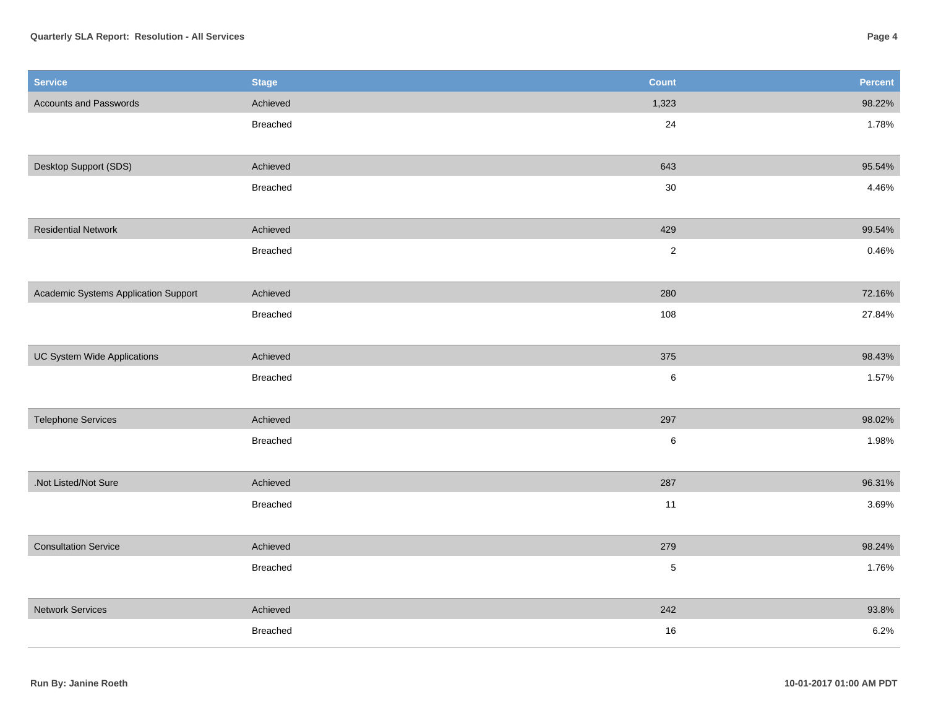## **Quarterly SLA Report: Resolution - All Services**

| <b>Service</b>                       | <b>Stage</b>    | <b>Count</b>   | Percent |
|--------------------------------------|-----------------|----------------|---------|
| <b>Accounts and Passwords</b>        | Achieved        | 1,323          | 98.22%  |
|                                      | Breached        | 24             | 1.78%   |
| Desktop Support (SDS)                | Achieved        | 643            | 95.54%  |
|                                      | Breached        | $30\,$         | 4.46%   |
| <b>Residential Network</b>           | Achieved        | 429            | 99.54%  |
|                                      | Breached        | $\sqrt{2}$     | 0.46%   |
| Academic Systems Application Support | Achieved        | 280            | 72.16%  |
|                                      | Breached        | 108            | 27.84%  |
| <b>UC System Wide Applications</b>   | Achieved        | 375            | 98.43%  |
|                                      | <b>Breached</b> | $\,6\,$        | 1.57%   |
| <b>Telephone Services</b>            | Achieved        | 297            | 98.02%  |
|                                      | Breached        | 6              | 1.98%   |
| .Not Listed/Not Sure                 | Achieved        | 287            | 96.31%  |
|                                      | Breached        | 11             | 3.69%   |
| <b>Consultation Service</b>          | Achieved        | 279            | 98.24%  |
|                                      | <b>Breached</b> | $\overline{5}$ | 1.76%   |
| <b>Network Services</b>              | Achieved        | 242            | 93.8%   |
|                                      | <b>Breached</b> | 16             | 6.2%    |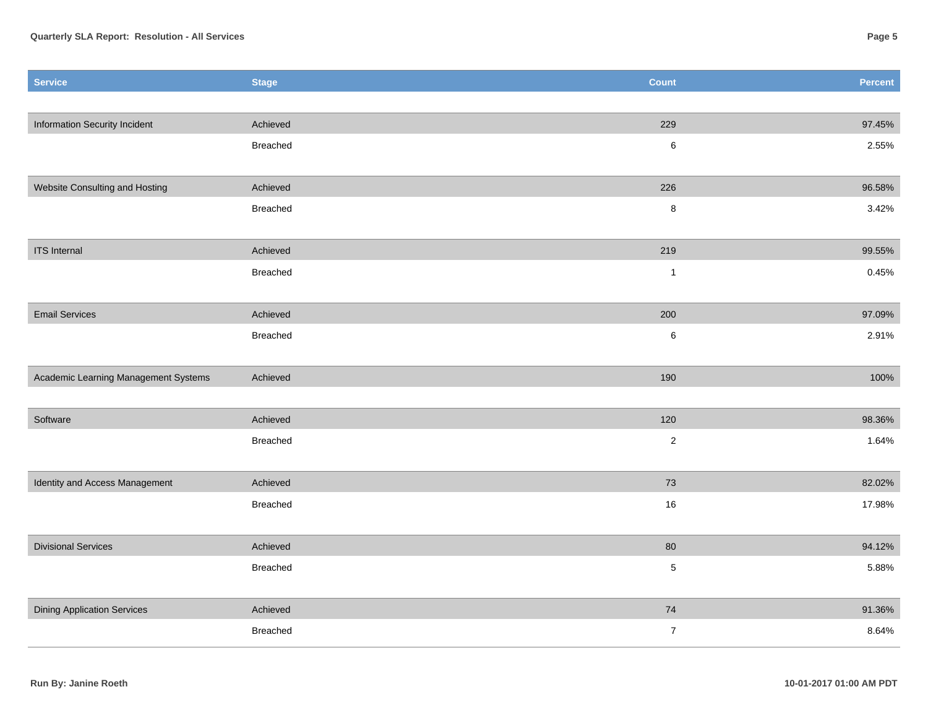| <b>Service</b>                       | <b>Stage</b> | <b>Count</b>            | <b>Percent</b> |
|--------------------------------------|--------------|-------------------------|----------------|
|                                      |              |                         |                |
| Information Security Incident        | Achieved     | 229                     | 97.45%         |
|                                      | Breached     | $\,6\,$                 | 2.55%          |
|                                      |              |                         |                |
| Website Consulting and Hosting       | Achieved     | 226                     | 96.58%         |
|                                      | Breached     | 8                       | 3.42%          |
|                                      |              |                         |                |
| <b>ITS</b> Internal                  | Achieved     | 219                     | 99.55%         |
|                                      | Breached     | $\mathbf 1$             | 0.45%          |
|                                      |              |                         |                |
| <b>Email Services</b>                | Achieved     | 200                     | 97.09%         |
|                                      | Breached     | 6                       | 2.91%          |
| Academic Learning Management Systems | Achieved     | 190                     | 100%           |
|                                      |              |                         |                |
| Software                             | Achieved     | 120                     | 98.36%         |
|                                      | Breached     | $\overline{\mathbf{c}}$ | 1.64%          |
|                                      |              |                         |                |
| Identity and Access Management       | Achieved     | 73                      | 82.02%         |
|                                      | Breached     | $16\,$                  | 17.98%         |
|                                      |              |                         |                |
| <b>Divisional Services</b>           | Achieved     | 80                      | 94.12%         |
|                                      | Breached     | 5                       | 5.88%          |
|                                      |              |                         |                |
| <b>Dining Application Services</b>   | Achieved     | ${\bf 74}$              | 91.36%         |
|                                      | Breached     | $\boldsymbol{7}$        | 8.64%          |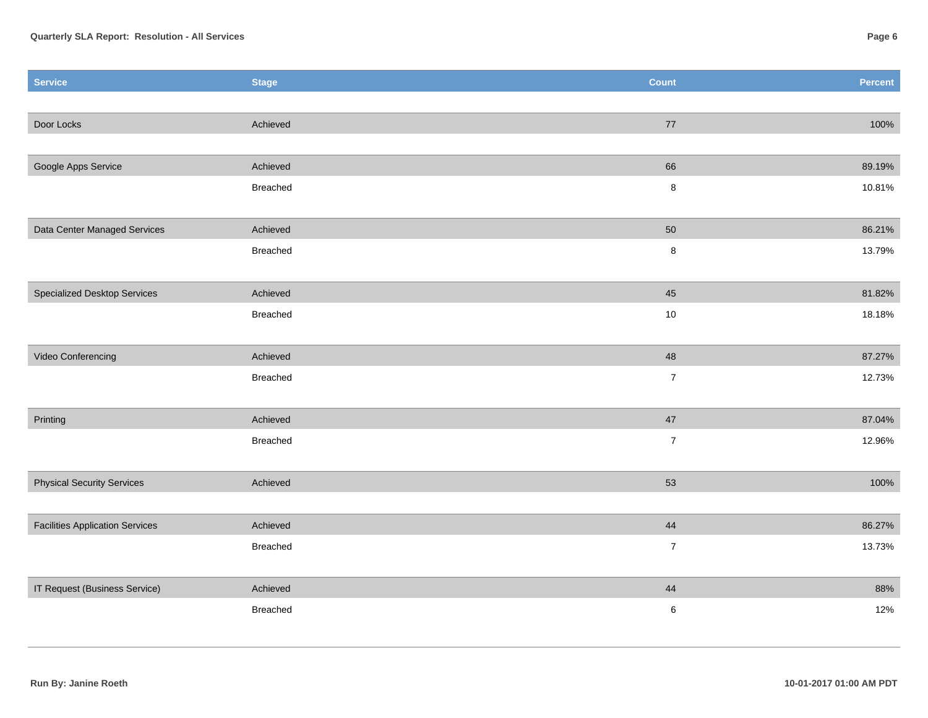| <b>Service</b>                         | <b>Stage</b> | <b>Count</b>     | Percent |
|----------------------------------------|--------------|------------------|---------|
|                                        |              |                  |         |
| Door Locks                             | Achieved     | 77               | 100%    |
|                                        |              |                  |         |
| Google Apps Service                    | Achieved     | 66               | 89.19%  |
|                                        | Breached     | $\bf 8$          | 10.81%  |
|                                        |              |                  |         |
| Data Center Managed Services           | Achieved     | 50               | 86.21%  |
|                                        | Breached     | $\bf 8$          | 13.79%  |
|                                        |              |                  |         |
| <b>Specialized Desktop Services</b>    | Achieved     | 45               | 81.82%  |
|                                        | Breached     | $10\,$           | 18.18%  |
|                                        |              |                  |         |
| Video Conferencing                     | Achieved     | 48               | 87.27%  |
|                                        | Breached     | $\boldsymbol{7}$ | 12.73%  |
|                                        |              |                  |         |
| Printing                               | Achieved     | $47\,$           | 87.04%  |
|                                        | Breached     | $\overline{7}$   | 12.96%  |
|                                        |              |                  |         |
| <b>Physical Security Services</b>      | Achieved     | 53               | 100%    |
|                                        |              |                  |         |
| <b>Facilities Application Services</b> | Achieved     | 44               | 86.27%  |
|                                        | Breached     | $\overline{7}$   | 13.73%  |
|                                        |              |                  |         |
| IT Request (Business Service)          | Achieved     | 44               | 88%     |
|                                        | Breached     | $\,6\,$          | 12%     |
|                                        |              |                  |         |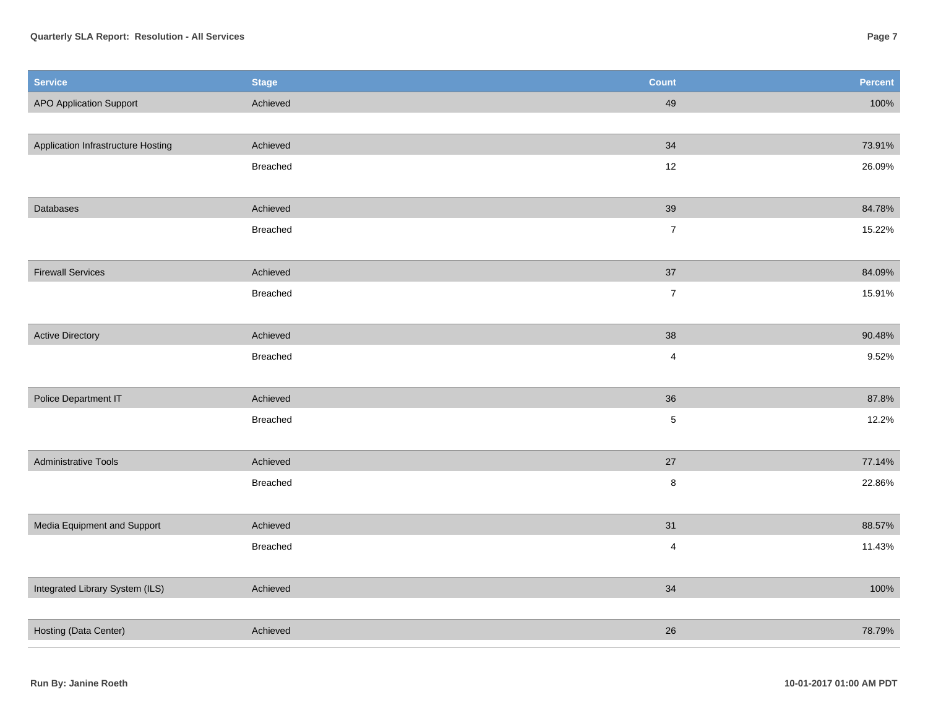## **Quarterly SLA Report: Resolution - All Services**

| Page 7 |
|--------|
|        |

| <b>Service</b>                     | <b>Stage</b> | <b>Count</b>            | <b>Percent</b> |
|------------------------------------|--------------|-------------------------|----------------|
| <b>APO Application Support</b>     | Achieved     | 49                      | 100%           |
|                                    |              |                         |                |
| Application Infrastructure Hosting | Achieved     | 34                      | 73.91%         |
|                                    | Breached     | 12                      | 26.09%         |
|                                    |              |                         |                |
| Databases                          | Achieved     | 39                      | 84.78%         |
|                                    | Breached     | $\overline{7}$          | 15.22%         |
|                                    |              |                         |                |
| <b>Firewall Services</b>           | Achieved     | 37                      | 84.09%         |
|                                    | Breached     | $\boldsymbol{7}$        | 15.91%         |
|                                    |              |                         |                |
| <b>Active Directory</b>            | Achieved     | 38                      | 90.48%         |
|                                    | Breached     | $\overline{\mathbf{4}}$ | 9.52%          |
|                                    |              |                         |                |
| Police Department IT               | Achieved     | 36                      | 87.8%          |
|                                    | Breached     | $\,$ 5 $\,$             | 12.2%          |
|                                    |              |                         |                |
| <b>Administrative Tools</b>        | Achieved     | 27                      | 77.14%         |
|                                    | Breached     | $\bf 8$                 | 22.86%         |
|                                    |              |                         |                |
| Media Equipment and Support        | Achieved     | 31                      | 88.57%         |
|                                    | Breached     | $\overline{4}$          | 11.43%         |
|                                    |              |                         |                |
| Integrated Library System (ILS)    | Achieved     | 34                      | 100%           |
|                                    |              |                         |                |
| Hosting (Data Center)              | Achieved     | 26                      | 78.79%         |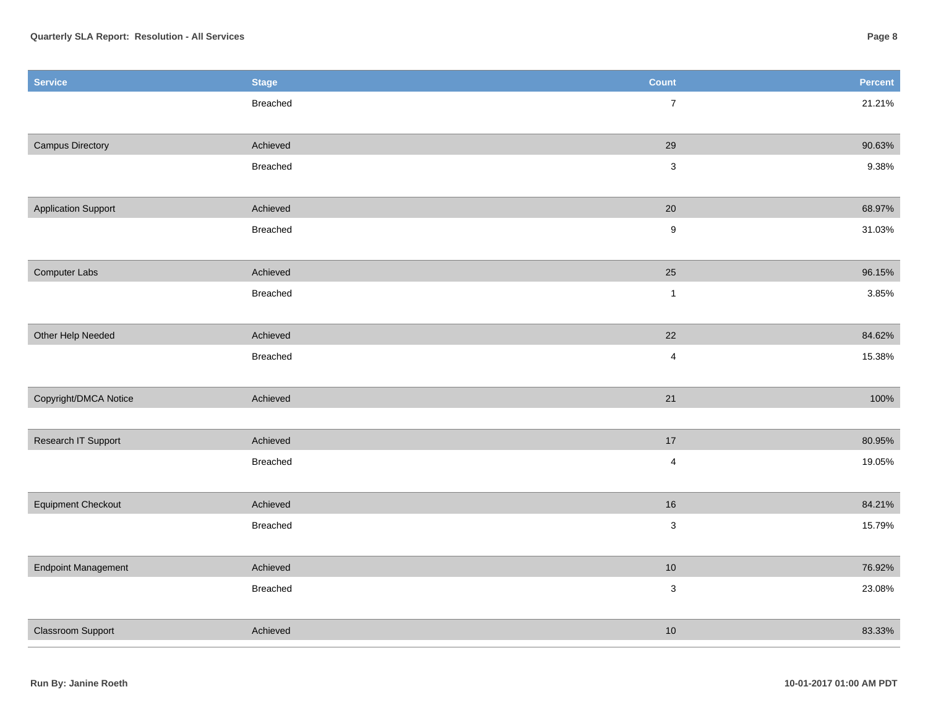| <b>Service</b>             | <b>Stage</b>    | Count                     | Percent |
|----------------------------|-----------------|---------------------------|---------|
|                            | Breached        | $\overline{7}$            | 21.21%  |
|                            |                 |                           |         |
| <b>Campus Directory</b>    | Achieved        | 29                        | 90.63%  |
|                            | <b>Breached</b> | $\ensuremath{\mathsf{3}}$ | 9.38%   |
|                            |                 |                           |         |
| <b>Application Support</b> | Achieved        | 20                        | 68.97%  |
|                            | Breached        | $\boldsymbol{9}$          | 31.03%  |
|                            |                 |                           |         |
| Computer Labs              | Achieved        | 25                        | 96.15%  |
|                            | Breached        | $\mathbf{1}$              | 3.85%   |
|                            |                 |                           |         |
| Other Help Needed          | Achieved        | 22                        | 84.62%  |
|                            | Breached        | $\overline{\mathbf{4}}$   | 15.38%  |
|                            |                 |                           |         |
| Copyright/DMCA Notice      | Achieved        | 21                        | 100%    |
|                            |                 |                           |         |
| Research IT Support        | Achieved        | $17\,$                    | 80.95%  |
|                            | Breached        | $\overline{\mathbf{4}}$   | 19.05%  |
|                            |                 |                           |         |
| <b>Equipment Checkout</b>  | Achieved        | $16\,$                    | 84.21%  |
|                            | Breached        | $\ensuremath{\mathsf{3}}$ | 15.79%  |
|                            | Achieved        | $10$                      | 76.92%  |
| <b>Endpoint Management</b> | Breached        |                           |         |
|                            |                 | $\mathsf 3$               | 23.08%  |
| <b>Classroom Support</b>   | Achieved        | $10$                      | 83.33%  |
|                            |                 |                           |         |